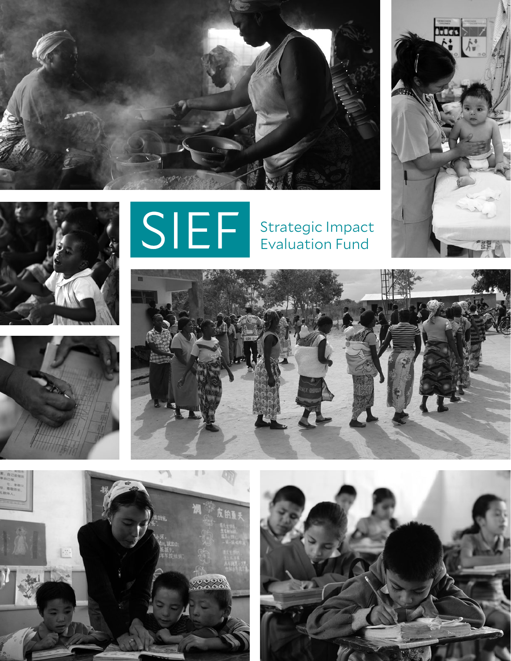







Strategic Impact Evaluation Fund







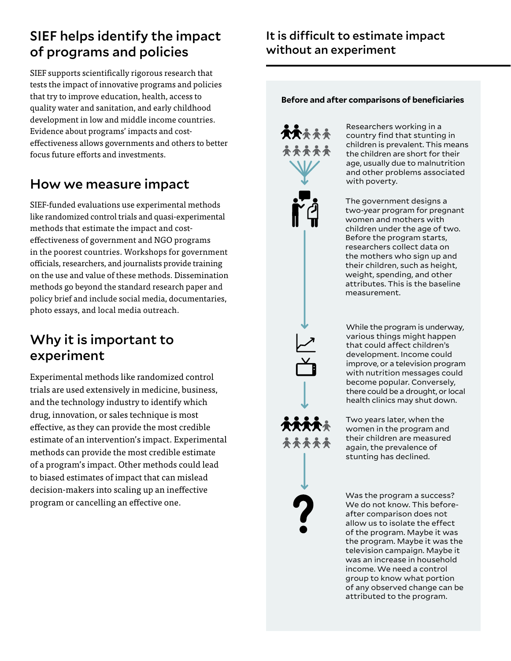# SIEF helps identify the impact of programs and policies

SIEF supports scientifically rigorous research that tests the impact of innovative programs and policies that try to improve education, health, access to quality water and sanitation, and early childhood development in low and middle income countries. Evidence about programs' impacts and costeffectiveness allows governments and others to better focus future efforts and investments.

# How we measure impact

SIEF-funded evaluations use experimental methods like randomized control trials and quasi-experimental methods that estimate the impact and costeffectiveness of government and NGO programs in the poorest countries. Workshops for government officials, researchers, and journalists provide training on the use and value of these methods. Dissemination methods go beyond the standard research paper and policy brief and include social media, documentaries, photo essays, and local media outreach.

## Why it is important to experiment

Experimental methods like randomized control trials are used extensively in medicine, business, and the technology industry to identify which drug, innovation, or sales technique is most effective, as they can provide the most credible estimate of an intervention's impact. Experimental methods can provide the most credible estimate of a program's impact. Other methods could lead to biased estimates of impact that can mislead decision-makers into scaling up an ineffective program or cancelling an effective one.

#### **Before and after comparisons of beneficiaries**



Researchers working in a country find that stunting in children is prevalent. This means the children are short for their age, usually due to malnutrition and other problems associated with poverty.

The government designs a two-year program for pregnant women and mothers with children under the age of two. Before the program starts, researchers collect data on the mothers who sign up and their children, such as height, weight, spending, and other attributes. This is the baseline measurement.

While the program is underway, various things might happen that could affect children's development. Income could improve, or a television program with nutrition messages could become popular. Conversely, there could be a drought, or local health clinics may shut down.

Two years later, when the women in the program and their children are measured again, the prevalence of stunting has declined.

Was the program a success? We do not know. This beforeafter comparison does not allow us to isolate the effect of the program. Maybe it was the program. Maybe it was the television campaign. Maybe it was an increase in household income. We need a control group to know what portion of any observed change can be attributed to the program.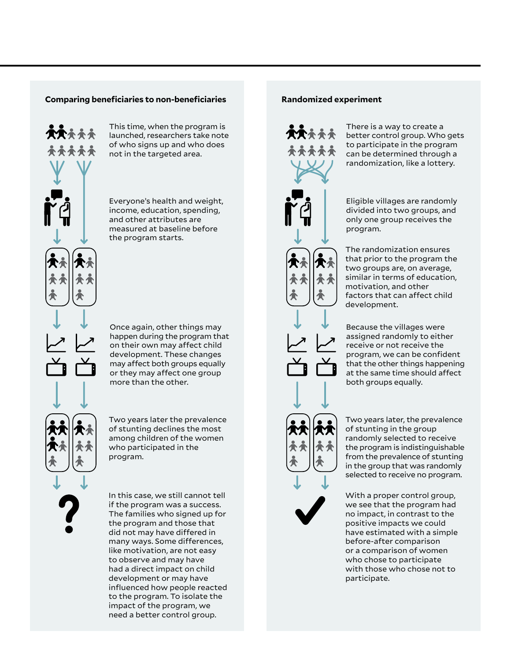#### **Comparing beneficiaries to non-beneficiaries**



This time, when the program is launched, researchers take note of who signs up and who does not in the targeted area.

Everyone's health and weight, income, education, spending, and other attributes are measured at baseline before the program starts.

Once again, other things may happen during the program that on their own may affect child development. These changes may affect both groups equally or they may affect one group more than the other.

Two years later the prevalence of stunting declines the most among children of the women who participated in the program.

In this case, we still cannot tell if the program was a success. The families who signed up for the program and those that did not may have differed in many ways. Some differences, like motivation, are not easy to observe and may have had a direct impact on child development or may have influenced how people reacted to the program. To isolate the impact of the program, we need a better control group.

#### **Randomized experiment**



There is a way to create a better control group. Who gets to participate in the program can be determined through a randomization, like a lottery.

Eligible villages are randomly divided into two groups, and only one group receives the program.

The randomization ensures that prior to the program the two groups are, on average, similar in terms of education, motivation, and other factors that can affect child development.

Because the villages were assigned randomly to either receive or not receive the program, we can be confident that the other things happening at the same time should affect both groups equally.

Two years later, the prevalence of stunting in the group randomly selected to receive the program is indistinguishable from the prevalence of stunting in the group that was randomly selected to receive no program.

With a proper control group, we see that the program had no impact, in contrast to the positive impacts we could have estimated with a simple before-after comparison or a comparison of women who chose to participate with those who chose not to participate.